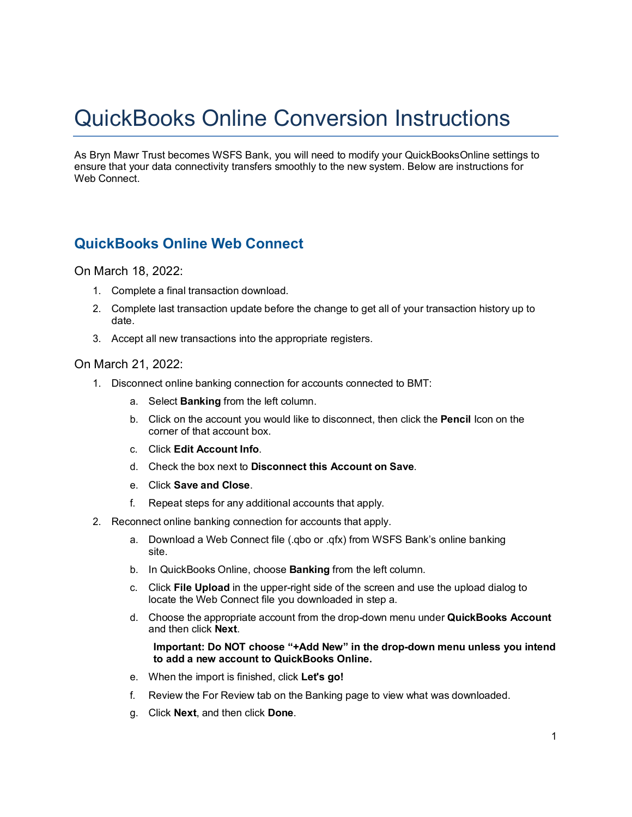## QuickBooks Online Conversion Instructions

As Bryn Mawr Trust becomes WSFS Bank, you will need to modify your QuickBooksOnline settings to ensure that your data connectivity transfers smoothly to the new system. Below are instructions for Web Connect.

## **QuickBooks Online Web Connect**

## On March 18, 2022:

- 1. Complete a final transaction download.
- 2. Complete last transaction update before the change to get all of your transaction history up to date.
- 3. Accept all new transactions into the appropriate registers.

## On March 21, 2022:

- 1. Disconnect online banking connection for accounts connected to BMT:
	- a. Select **Banking** from the left column.
	- b. Click on the account you would like to disconnect, then click the **Pencil** Icon on the corner of that account box.
	- c. Click **Edit Account Info**.
	- d. Check the box next to **Disconnect this Account on Save**.
	- e. Click **Save and Close**.
	- f. Repeat steps for any additional accounts that apply.
- 2. Reconnect online banking connection for accounts that apply.
	- a. Download a Web Connect file (.qbo or .qfx) from WSFS Bank's online banking site.
	- b. In QuickBooks Online, choose **Banking** from the left column.
	- c. Click **File Upload** in the upper-right side of the screen and use the upload dialog to locate the Web Connect file you downloaded in step a.
	- d. Choose the appropriate account from the drop-down menu under **QuickBooks Account** and then click **Next**.
		- **Important: Do NOT choose "+Add New" in the drop-down menu unless you intend to add a new account to QuickBooks Online.**
	- e. When the import is finished, click **Let's go!**
	- f. Review the For Review tab on the Banking page to view what was downloaded.
	- g. Click **Next**, and then click **Done**.